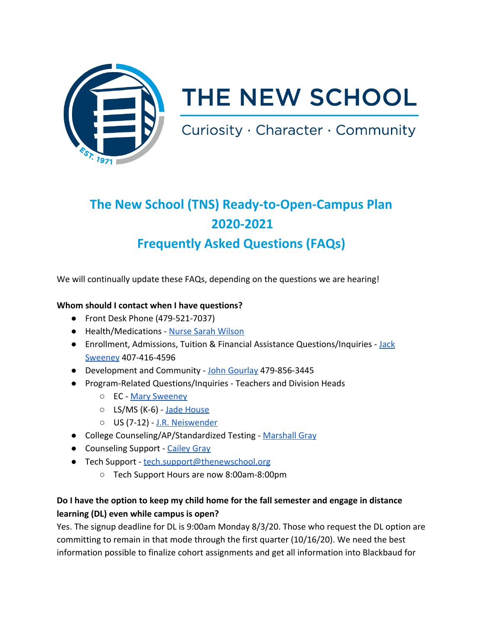

# THE NEW SCHOOL

Curiosity · Character · Community

# **The New School (TNS) Ready-to-Open-Campus Plan 2020-2021 Frequently Asked Questions (FAQs)**

We will continually update these FAQs, depending on the questions we are hearing!

#### **Whom should I contact when I have questions?**

- Front Desk Phone (479-521-7037)
- Health/Medications - [Nurse Sarah Wilson](mailto:sarah.wilson@thenewschool.org)
- Enrollment, Admissions, Tuition & Financial Assistance Questions/Inquiries [Jack](mailto:jack.sweeney@thenewschool.org) [Sweeney](mailto:jack.sweeney@thenewschool.org) 407-416-4596
- Development and Community - [John Gourlay](http://john.gourlay@thenewschool.org/) 479-856-3445
- Program-Related Questions/Inquiries Teachers and Division Heads
	- EC - [Mary Sweeney](mailto:mary.sweeney@thenewschool.org)
	- LS/MS (K-6) [Jade House](mailto:jade.house@thenewschool.org)
	- US (7-12) - [J.R. Neiswender](mailto:j.r.neiswender@thenewschool.org)
- College Counseling/AP/Standardized Testing - [Marshall Gray](mailto:marshall.gray@thenewschool.org)
- Counseling Support - [Cailey Gray](mailto:cailey.gray@thenewschool.org)
- Tech Support [tech.support@thenewschool.org](mailto:techsupport@thenewschool.org)
	- Tech Support Hours are now 8:00am-8:00pm

# **Do I have the option to keep my child home for the fall semester and engage in distance learning (DL) even while campus is open?**

Yes. The signup deadline for DL is 9:00am Monday 8/3/20. Those who request the DL option are committing to remain in that mode through the first quarter (10/16/20). We need the best information possible to finalize cohort assignments and get all information into Blackbaud for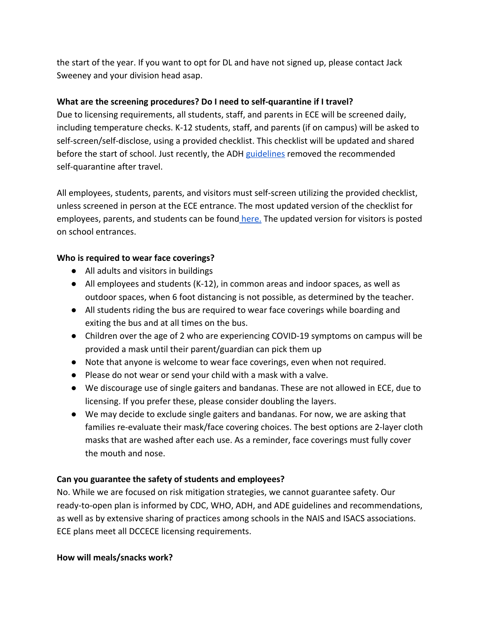the start of the year. If you want to opt for DL and have not signed up, please contact Jack Sweeney and your division head asap.

#### **What are the screening procedures? Do I need to self-quarantine if I travel?**

Due to licensing requirements, all students, staff, and parents in ECE will be screened daily, including temperature checks. K-12 students, staff, and parents (if on campus) will be asked to self-screen/self-disclose, using a provided checklist. This checklist will be updated and shared before the start of school. Just recently, the ADH [guidelines](https://www.healthy.arkansas.gov/images/uploads/pdf/directive_hot_spot_travel.pdf) removed the recommended self-quarantine after travel.

All employees, students, parents, and visitors must self-screen utilizing the provided checklist, unless screened in person at the ECE entrance. The most updated version of the checklist for employees, parents, and students can be found [here.](https://drive.google.com/file/d/15hAUXRldlQ8V45vuFo7MBDnna4pCLPvD/view?usp=sharing) The updated version for visitors is posted on school entrances.

#### **Who is required to wear face coverings?**

- All adults and visitors in buildings
- All employees and students (K-12), in common areas and indoor spaces, as well as outdoor spaces, when 6 foot distancing is not possible, as determined by the teacher.
- All students riding the bus are required to wear face coverings while boarding and exiting the bus and at all times on the bus.
- Children over the age of 2 who are experiencing COVID-19 symptoms on campus will be provided a mask until their parent/guardian can pick them up
- Note that anyone is welcome to wear face coverings, even when not required.
- Please do not wear or send your child with a mask with a valve.
- We discourage use of single gaiters and bandanas. These are not allowed in ECE, due to licensing. If you prefer these, please consider doubling the layers.
- We may decide to exclude single gaiters and bandanas. For now, we are asking that families re-evaluate their mask/face covering choices. The best options are 2-layer cloth masks that are washed after each use. As a reminder, face coverings must fully cover the mouth and nose.

## **Can you guarantee the safety of students and employees?**

No. While we are focused on risk mitigation strategies, we cannot guarantee safety. Our ready-to-open plan is informed by CDC, WHO, ADH, and ADE guidelines and recommendations, as well as by extensive sharing of practices among schools in the NAIS and ISACS associations. ECE plans meet all DCCECE licensing requirements.

#### **How will meals/snacks work?**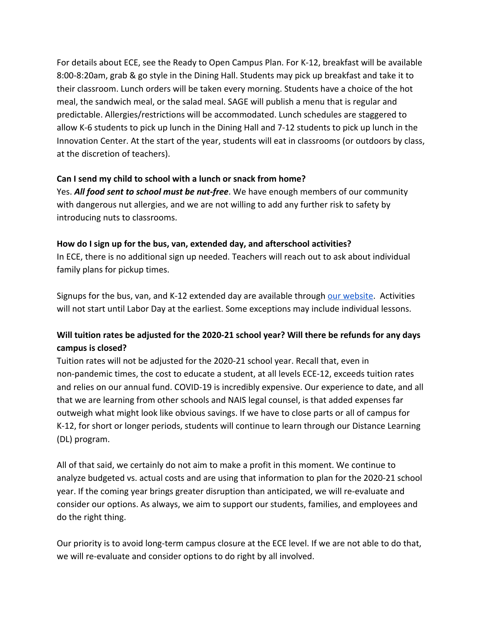For details about ECE, see the Ready to Open Campus Plan. For K-12, breakfast will be available 8:00-8:20am, grab & go style in the Dining Hall. Students may pick up breakfast and take it to their classroom. Lunch orders will be taken every morning. Students have a choice of the hot meal, the sandwich meal, or the salad meal. SAGE will publish a menu that is regular and predictable. Allergies/restrictions will be accommodated. Lunch schedules are staggered to allow K-6 students to pick up lunch in the Dining Hall and 7-12 students to pick up lunch in the Innovation Center. At the start of the year, students will eat in classrooms (or outdoors by class, at the discretion of teachers).

#### **Can I send my child to school with a lunch or snack from home?**

Yes. *All food sent to school must be nut-free*. We have enough members of our community with dangerous nut allergies, and we are not willing to add any further risk to safety by introducing nuts to classrooms.

#### **How do I sign up for the bus, van, extended day, and afterschool activities?**

In ECE, there is no additional sign up needed. Teachers will reach out to ask about individual family plans for pickup times.

Signups for the bus, van, and K-12 extended day are available through [our website](https://www.thenewschool.org/campus-life/extended-day). Activities will not start until Labor Day at the earliest. Some exceptions may include individual lessons.

# **Will tuition rates be adjusted for the 2020-21 school year? Will there be refunds for any days campus is closed?**

Tuition rates will not be adjusted for the 2020-21 school year. Recall that, even in non-pandemic times, the cost to educate a student, at all levels ECE-12, exceeds tuition rates and relies on our annual fund. COVID-19 is incredibly expensive. Our experience to date, and all that we are learning from other schools and NAIS legal counsel, is that added expenses far outweigh what might look like obvious savings. If we have to close parts or all of campus for K-12, for short or longer periods, students will continue to learn through our Distance Learning (DL) program.

All of that said, we certainly do not aim to make a profit in this moment. We continue to analyze budgeted vs. actual costs and are using that information to plan for the 2020-21 school year. If the coming year brings greater disruption than anticipated, we will re-evaluate and consider our options. As always, we aim to support our students, families, and employees and do the right thing.

Our priority is to avoid long-term campus closure at the ECE level. If we are not able to do that, we will re-evaluate and consider options to do right by all involved.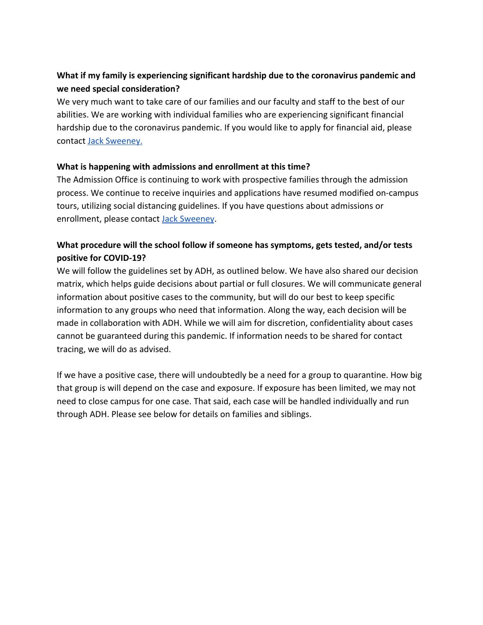# **What if my family is experiencing significant hardship due to the coronavirus pandemic and we need special consideration?**

We very much want to take care of our families and our faculty and staff to the best of our abilities. We are working with individual families who are experiencing significant financial hardship due to the coronavirus pandemic. If you would like to apply for financial aid, please contact [Jack Sweeney.](mailto:jack.sweeney@thenewschool.org)

#### **What is happening with admissions and enrollment at this time?**

The Admission Office is continuing to work with prospective families through the admission process. We continue to receive inquiries and applications have resumed modified on-campus tours, utilizing social distancing guidelines. If you have questions about admissions or enrollment, please contact **Jack Sweeney**.

# **What procedure will the school follow if someone has symptoms, gets tested, and/or tests positive for COVID-19?**

We will follow the guidelines set by ADH, as outlined below. We have also shared our decision matrix, which helps guide decisions about partial or full closures. We will communicate general information about positive cases to the community, but will do our best to keep specific information to any groups who need that information. Along the way, each decision will be made in collaboration with ADH. While we will aim for discretion, confidentiality about cases cannot be guaranteed during this pandemic. If information needs to be shared for contact tracing, we will do as advised.

If we have a positive case, there will undoubtedly be a need for a group to quarantine. How big that group is will depend on the case and exposure. If exposure has been limited, we may not need to close campus for one case. That said, each case will be handled individually and run through ADH. Please see below for details on families and siblings.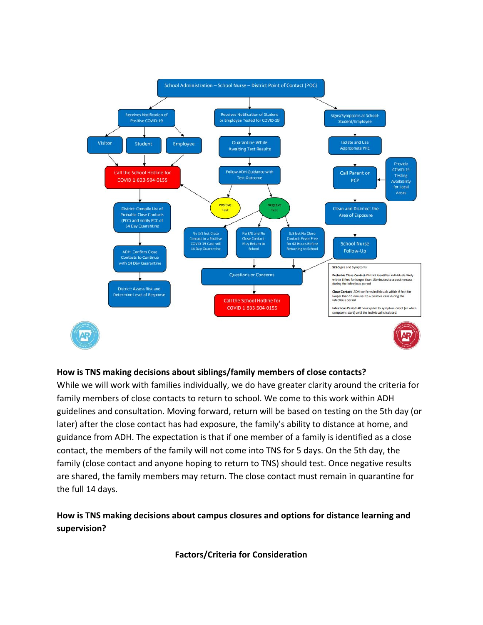

#### **How is TNS making decisions about siblings/family members of close contacts?**

While we will work with families individually, we do have greater clarity around the criteria for family members of close contacts to return to school. We come to this work within ADH guidelines and consultation. Moving forward, return will be based on testing on the 5th day (or later) after the close contact has had exposure, the family's ability to distance at home, and guidance from ADH. The expectation is that if one member of a family is identified as a close contact, the members of the family will not come into TNS for 5 days. On the 5th day, the family (close contact and anyone hoping to return to TNS) should test. Once negative results are shared, the family members may return. The close contact must remain in quarantine for the full 14 days.

## **How is TNS making decisions about campus closures and options for distance learning and supervision?**

**Factors/Criteria for Consideration**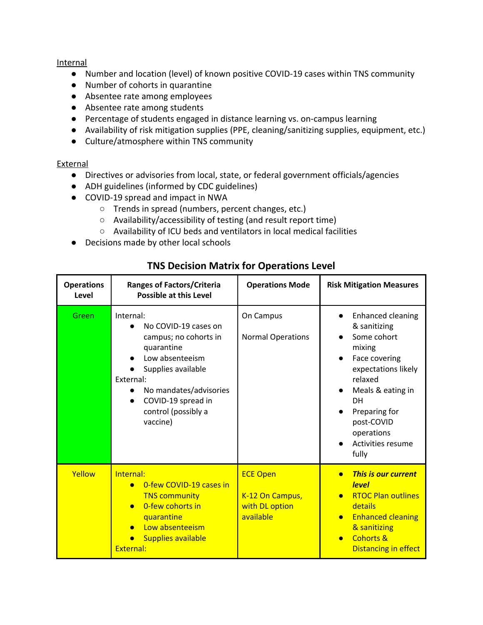Internal

- Number and location (level) of known positive COVID-19 cases within TNS community
- Number of cohorts in quarantine
- Absentee rate among employees
- Absentee rate among students
- Percentage of students engaged in distance learning vs. on-campus learning
- Availability of risk mitigation supplies (PPE, cleaning/sanitizing supplies, equipment, etc.)
- Culture/atmosphere within TNS community

#### External

- Directives or advisories from local, state, or federal government officials/agencies
- ADH guidelines (informed by CDC guidelines)
- COVID-19 spread and impact in NWA
	- Trends in spread (numbers, percent changes, etc.)
	- Availability/accessibility of testing (and result report time)
	- Availability of ICU beds and ventilators in local medical facilities
- Decisions made by other local schools

| <b>Operations</b><br>Level | <b>Ranges of Factors/Criteria</b><br><b>Possible at this Level</b>                                                                                                                                                | <b>Operations Mode</b>                                            | <b>Risk Mitigation Measures</b>                                                                                                                                                                                                                      |
|----------------------------|-------------------------------------------------------------------------------------------------------------------------------------------------------------------------------------------------------------------|-------------------------------------------------------------------|------------------------------------------------------------------------------------------------------------------------------------------------------------------------------------------------------------------------------------------------------|
| Green                      | Internal:<br>No COVID-19 cases on<br>campus; no cohorts in<br>quarantine<br>Low absenteeism<br>Supplies available<br>External:<br>No mandates/advisories<br>COVID-19 spread in<br>control (possibly a<br>vaccine) | On Campus<br><b>Normal Operations</b>                             | <b>Enhanced cleaning</b><br>$\bullet$<br>& sanitizing<br>Some cohort<br>mixing<br>Face covering<br>expectations likely<br>relaxed<br>Meals & eating in<br>$\bullet$<br>DH<br>Preparing for<br>post-COVID<br>operations<br>Activities resume<br>fully |
| Yellow                     | Internal:<br>0-few COVID-19 cases in<br><b>TNS community</b><br>0-few cohorts in<br>quarantine<br>Low absenteeism<br><b>Supplies available</b><br>External:                                                       | <b>ECE Open</b><br>K-12 On Campus,<br>with DL option<br>available | <b>This is our current</b><br>$\bullet$<br><b>level</b><br><b>RTOC Plan outlines</b><br>details<br><b>Enhanced cleaning</b><br>& sanitizing<br><b>Cohorts &amp;</b><br>$\bullet$<br><b>Distancing in effect</b>                                      |

# **TNS Decision Matrix for Operations Level**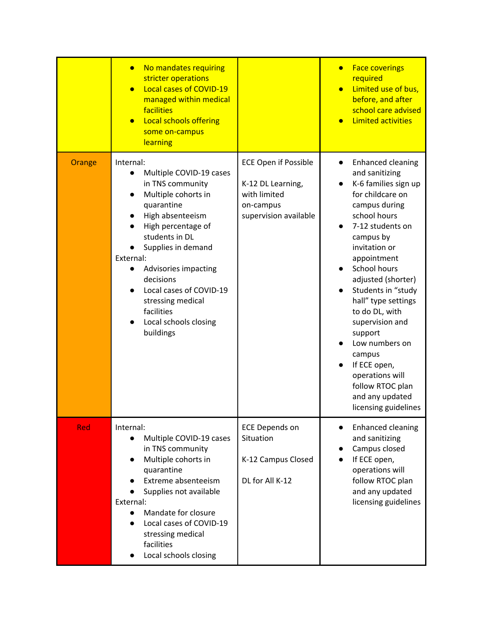|        | No mandates requiring<br>$\bullet$<br>stricter operations<br>Local cases of COVID-19<br>$\bullet$<br>managed within medical<br>facilities<br><b>Local schools offering</b><br>$\bullet$<br>some on-campus<br>learning                                                                                                                                                        |                                                                                                        | <b>Face coverings</b><br>$\bullet$<br>required<br>Limited use of bus,<br>before, and after<br>school care advised<br><b>Limited activities</b>                                                                                                                                                                                                                                                                                                                         |
|--------|------------------------------------------------------------------------------------------------------------------------------------------------------------------------------------------------------------------------------------------------------------------------------------------------------------------------------------------------------------------------------|--------------------------------------------------------------------------------------------------------|------------------------------------------------------------------------------------------------------------------------------------------------------------------------------------------------------------------------------------------------------------------------------------------------------------------------------------------------------------------------------------------------------------------------------------------------------------------------|
| Orange | Internal:<br>Multiple COVID-19 cases<br>$\bullet$<br>in TNS community<br>Multiple cohorts in<br>quarantine<br>High absenteeism<br>High percentage of<br>students in DL<br>Supplies in demand<br>External:<br>Advisories impacting<br>$\bullet$<br>decisions<br>Local cases of COVID-19<br>$\bullet$<br>stressing medical<br>facilities<br>Local schools closing<br>buildings | <b>ECE Open if Possible</b><br>K-12 DL Learning,<br>with limited<br>on-campus<br>supervision available | <b>Enhanced cleaning</b><br>$\bullet$<br>and sanitizing<br>K-6 families sign up<br>for childcare on<br>campus during<br>school hours<br>7-12 students on<br>campus by<br>invitation or<br>appointment<br>School hours<br>adjusted (shorter)<br>Students in "study<br>hall" type settings<br>to do DL, with<br>supervision and<br>support<br>Low numbers on<br>campus<br>If ECE open,<br>operations will<br>follow RTOC plan<br>and any updated<br>licensing guidelines |
| Red    | Internal:<br>Multiple COVID-19 cases<br>$\bullet$<br>in TNS community<br>Multiple cohorts in<br>quarantine<br>Extreme absenteeism<br>Supplies not available<br>External:<br>Mandate for closure<br>$\bullet$<br>Local cases of COVID-19<br>$\bullet$<br>stressing medical<br>facilities<br>Local schools closing                                                             | <b>ECE Depends on</b><br>Situation<br>K-12 Campus Closed<br>DL for All K-12                            | <b>Enhanced cleaning</b><br>$\bullet$<br>and sanitizing<br>Campus closed<br>If ECE open,<br>operations will<br>follow RTOC plan<br>and any updated<br>licensing guidelines                                                                                                                                                                                                                                                                                             |